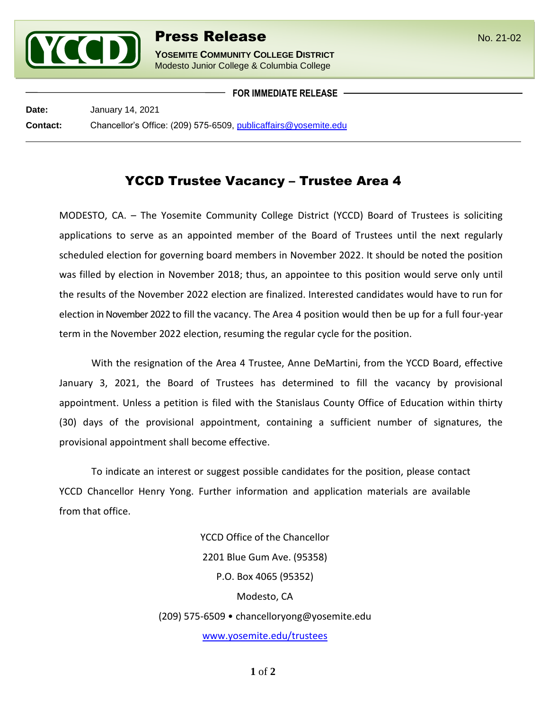

l

**YOSEMITE COMMUNITY COLLEGE DISTRICT** Modesto Junior College & Columbia College

**FOR IMMEDIATE RELEASE**

**Date:** January 14, 2021 **Contact:** Chancellor's Office: (209) 575-6509, [publicaffairs@yosemite.edu](mailto:publicaffairs@yosemite.edu)

## YCCD Trustee Vacancy – Trustee Area 4

MODESTO, CA. – The Yosemite Community College District (YCCD) Board of Trustees is soliciting applications to serve as an appointed member of the Board of Trustees until the next regularly scheduled election for governing board members in November 2022. It should be noted the position was filled by election in November 2018; thus, an appointee to this position would serve only until the results of the November 2022 election are finalized. Interested candidates would have to run for election in November 2022 to fill the vacancy. The Area 4 position would then be up for a full four-year term in the November 2022 election, resuming the regular cycle for the position.

With the resignation of the Area 4 Trustee, Anne DeMartini, from the YCCD Board, effective January 3, 2021, the Board of Trustees has determined to fill the vacancy by provisional appointment. Unless a petition is filed with the Stanislaus County Office of Education within thirty (30) days of the provisional appointment, containing a sufficient number of signatures, the provisional appointment shall become effective.

To indicate an interest or suggest possible candidates for the position, please contact YCCD Chancellor Henry Yong. Further information and application materials are available from that office.

> YCCD Office of the Chancellor 2201 Blue Gum Ave. (95358) P.O. Box 4065 (95352) Modesto, CA (209) 575-6509 • chancelloryong@yosemite.edu [www.yosemite.edu/trustees](http://www.yosemite.edu/trustees)

> > **1** of **2**